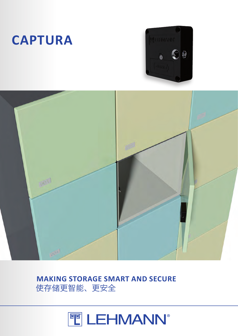

# **MAKING STORAGE SMART AND SECURE** 使存储更智能、更安全





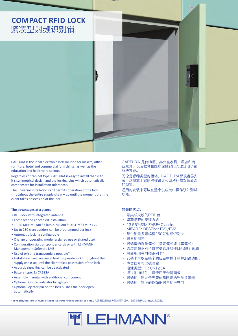

CAPTURA is the ideal electronic lock solution for lockers, office furniture, hotel and commercial furnishings, as well as the education and healthcare sectors.

Regardless of cabinet type, CAPTURA is easy to install thanks to it's symmetrical design and the locking pins which automatically compensate for installation tolerances.

The universal installation card permits operation of the lock throughout the entire supply chain – up until the moment that the client takes possession of the lock.

#### **The advantages at a glance:**

- RFID lock with integrated antenna
- Compact and concealed installation
- 13,56 MHz MIFARE® Classic, MIFARE® DESFire® EV1 / EV2
- Up to 250 transponders can be programmed per lock
- Automatic locking configurable
- Change of operating mode (assigned use or shared use)
- Configuration via transponder cards or with LEHMANN Management Software LMS
- Use of existing transponders possible\*
- Installation card: universal tool to operate lock throughout the supply chain up until the client takes possession of the lock
- Acoustic signalling can be deactivated
- Battery type: 1x CR123A
- Assembly in metal with additional component
- Optional: Optical indicator by lightpoint
- Optional: ejector pin on the lock pushes the door open automatically

CAPTURA 是储物柜、办公室家具、酒店和商 业家具,以及教育和医疗保健部门的理想电子锁 解决方案。

无论是哪种类型的柜体,CAPTURA都很容易安 装,这得益于它的对称设计和自动补偿安装公差 的锁销。

通用的安装卡可以在整个供应链中操作锁并测试 功能。

## 显著的优点:

- 带集成天线的RFID锁
- 紧凑隐蔽的安装方式
- 13,56兆赫MIFARE® Classic、 MIFARE® DESFire® EV1/EV2
- 每个锁最多可编程250张射频识别卡
- 可自动锁定
- 可选择的操作模式(指定模式或共享模式)
- 通过射频识别卡或雷曼管理软件LMS进行配置
- 可使用现有射频识别卡\*
- 安装卡可以在整个供应链中操作锁并测试功能。
- 声音信号可以被消除
- 电池类型:1x CR123A
- 通过附加组件,可使用于金属面板
- · 可选项: 通过传光管信息回馈的光学指示器
- 可选项:锁上的反弹器可自动推开门

\* Third-party transponders must be checked in advance for compatibility and range. / 如需要使用第三方的射频识别卡,必须事先确认其兼容性和范围。

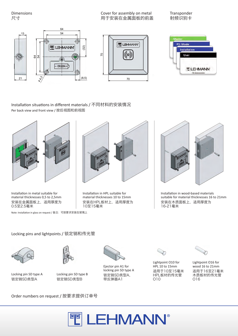Dimensions 尺寸

Cover for assembly on metal 用于安装在金属面板的前盖 Transponder 射频识别卡







Installation situations in different materials / 不同材料的安装情况 Per back view and front view / 按后视图和前视图



Installation in metal suitable for material thicknesses 0,5 to 2,5mm 安装在金属面板上,适用厚度为 0.5至2.5毫米 Installation in metal suitable for material thicknesses 0,5 to 2,5mm material<br>安装在金属面板上,适用厚度为 安装在F<br>0.5至2.5毫米 <br>Note: Installation in glass on request / 备注: 可按要求安装在玻璃上<br>Locking pins and lightpoints / 锁定销和传

20 3,7 3,7 21,5 Note: Installation in glass on request / 备注:可按要求安装在玻璃上



Installation in HPL suitable for material thicknesses 10 to 15mm 安装在HPL板材上,适用厚度为 65 10至15毫米



Installation in wood-based materials suitable for material thicknesses 16 to 21mm 安装在木质面板上,适用厚度为 16-21毫米

d lig



Locking pin SD type A 锁定销SD类型A



Locking pin SD type B 锁定销SD类型B



Ejector pin A1 for locking pin SD type A 锁定销SD类型A, 带反弹器A1



Lightpoint O10 for HPL 10 to 15mm 适用于10至15毫米 HPL板材的传光管 O10



Lightpoint O16 for wood 16 to 21mm 适用于16至21毫米 木质板材的传光管 O16